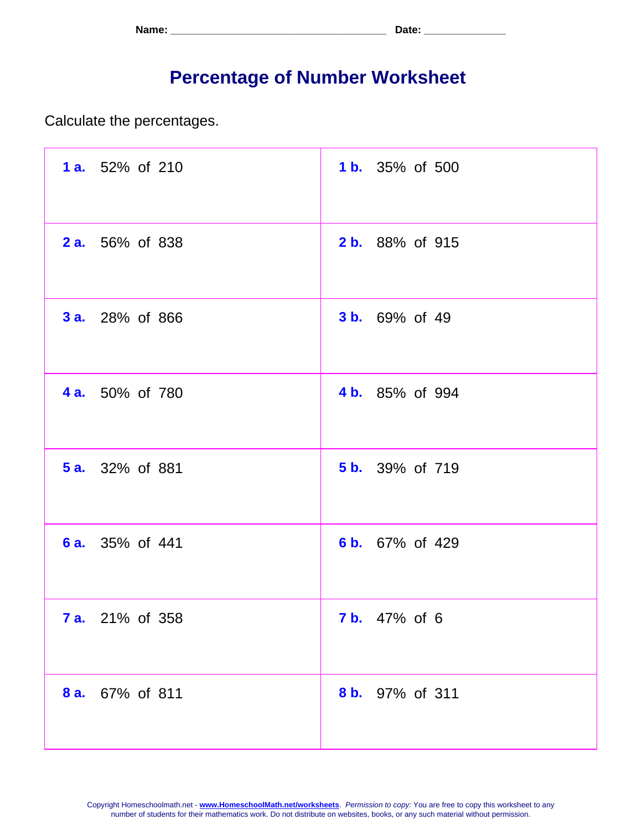| Name: | Tate. |
|-------|-------|
|-------|-------|

## **Percentage of Number Worksheet**

Calculate the percentages.

| <b>1 a.</b> 52% of 210 | 1 b. 35% of 500        |
|------------------------|------------------------|
| <b>2 a.</b> 56% of 838 | 2 b. 88% of 915        |
| <b>3 a.</b> 28% of 866 | <b>3 b.</b> 69% of 49  |
| <b>4 a.</b> 50% of 780 | 4 b. 85% of 994        |
| <b>5 a.</b> 32% of 881 | <b>5 b.</b> 39% of 719 |
| <b>6 a.</b> 35% of 441 | 6 b. 67% of 429        |
| <b>7 a.</b> 21% of 358 | <b>7 b.</b> 47% of 6   |
| 8 a.<br>67% of 811     | 8 b. 97% of 311        |